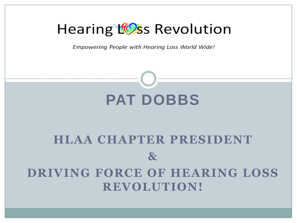#### Hearing LOss Revolution

Empowering People with Hearing Loss World Wide!

### **PAT DOBBS**

#### **HLAA CHAPTER PRESIDENT & DRIVING FORCE OF HEARING LOSS REVOLUTION!**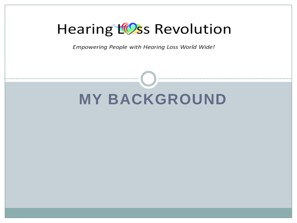#### Hearing LOss Revolution

Empowering People with Hearing Loss World Wide!

# **MY BACKGROUND**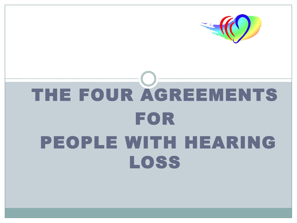

## THE FOUR AGREEMENTS FOR PEOPLE WITH HEARING LOSS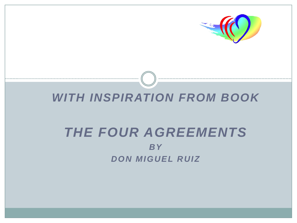

#### *WITH INSPIRATION FROM BOOK*

#### *THE FOUR AGREEMENTS BY DON MIGUEL RUIZ*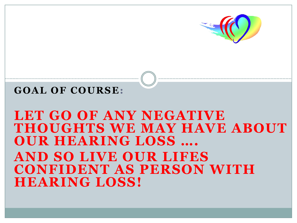

#### **GOAL OF COURSE:**

#### LET GO OF ANY NEGATIVE **THOUGHTS WE MAY HAVE ABOUT OUR HEARING LOSS …. AND SO LIVE OUR LIFES CONFIDENT AS PERSON WITH HEARING LOSS!**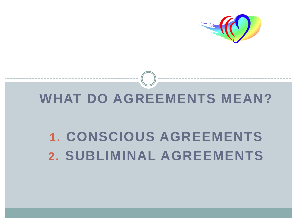

#### WHAT DO AGREEMENTS MEAN?

### **1. CONSCIOUS AGREEMENTS 2. SUBLIMINAL AGREEMENTS**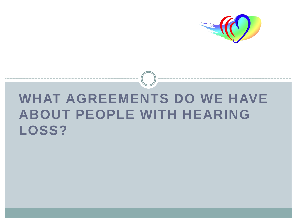

#### **WHAT AGREEMENTS DO WE HAVE ABOUT PEOPLE WITH HEARING LOSS?**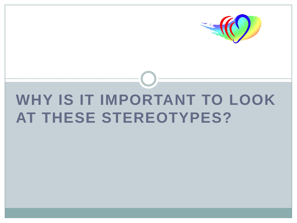

### **WHY IS IT IMPORTANT TO LOOK AT THESE STEREOTYPES?**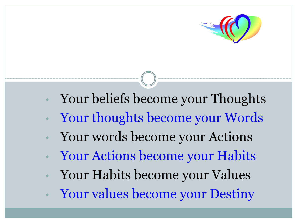

- Your beliefs become your Thoughts
- Your thoughts become your Words
- Your words become your Actions
- Your Actions become your Habits
- Your Habits become your Values
- Your values become your Destiny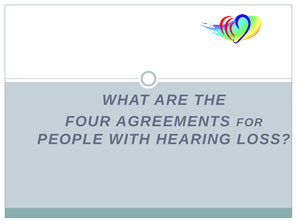

### *WHAT ARE THE FOUR AGREEMENTS FOR PEOPLE WITH HEARING LOSS?*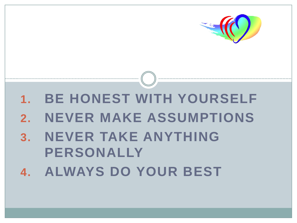

### **1. BE HONEST WITH YOURSELF 2. NEVER MAKE ASSUMPTIONS 3. NEVER TAKE ANYTHING PERSONALLY 4. ALWAYS DO YOUR BEST**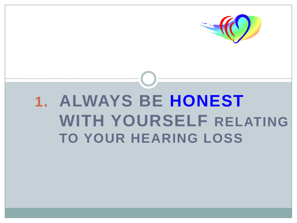

### **1. ALWAYS BE HONEST WITH YOURSELF RELATING TO YOUR HEARING LOSS**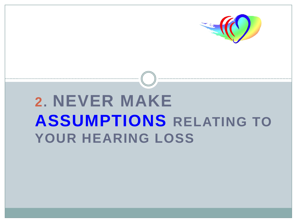

### **2. NEVER MAKE ASSUMPTIONS RELATING TO YOUR HEARING LOSS**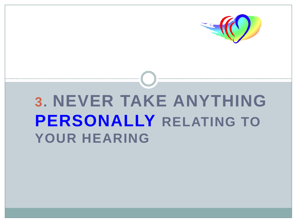

### **3. NEVER TAKE ANYTHING PERSONALLY RELATING TO YOUR HEARING**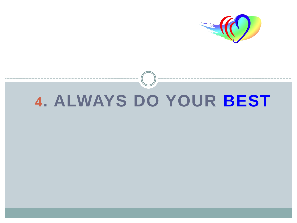

#### **. ALWAYS DO YOUR BEST**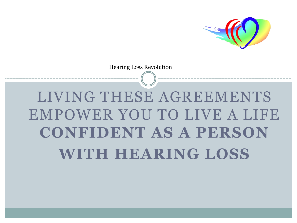

Hearing Loss Revolution

### LIVING THESE AGREEMENTS EMPOWER YOU TO LIVE A LIFE **CONFIDENT AS A PERSON WITH HEARING LOSS**